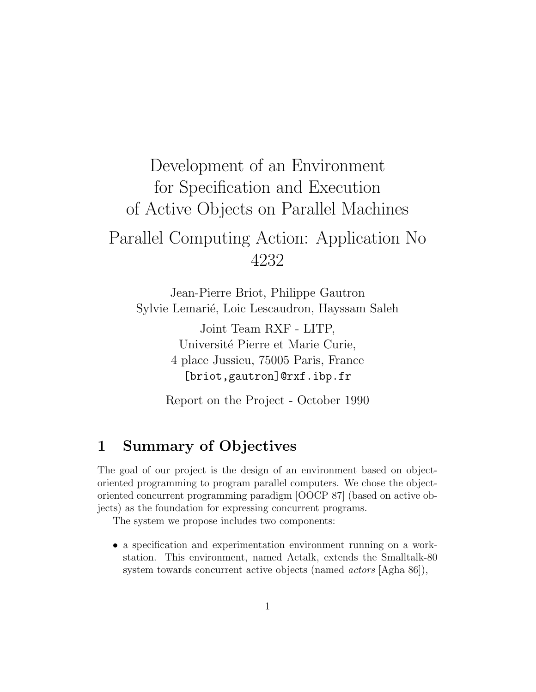# Development of an Environment for Specification and Execution of Active Objects on Parallel Machines Parallel Computing Action: Application No 4232

Jean-Pierre Briot, Philippe Gautron Sylvie Lemarié, Loic Lescaudron, Hayssam Saleh

> Joint Team RXF - LITP, Université Pierre et Marie Curie, 4 place Jussieu, 75005 Paris, France [briot,gautron]@rxf.ibp.fr

Report on the Project - October 1990

### 1 Summary of Objectives

The goal of our project is the design of an environment based on objectoriented programming to program parallel computers. We chose the objectoriented concurrent programming paradigm [OOCP 87] (based on active objects) as the foundation for expressing concurrent programs.

The system we propose includes two components:

• a specification and experimentation environment running on a workstation. This environment, named Actalk, extends the Smalltalk-80 system towards concurrent active objects (named *actors* [Agha 86]),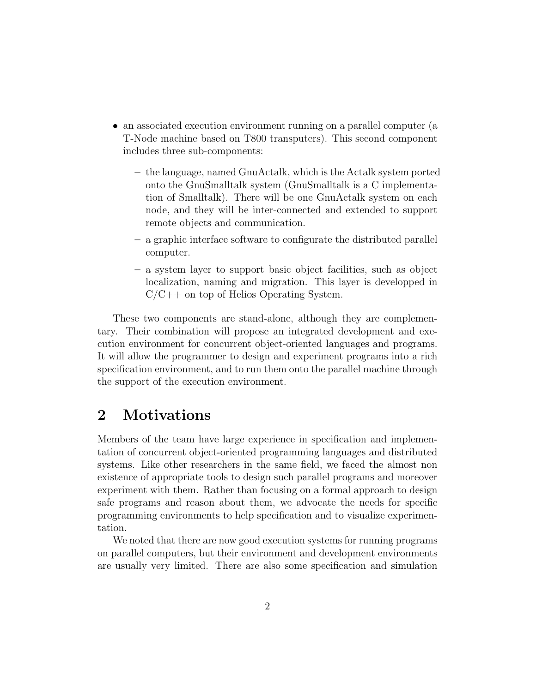- an associated execution environment running on a parallel computer (a T-Node machine based on T800 transputers). This second component includes three sub-components:
	- the language, named GnuActalk, which is the Actalk system ported onto the GnuSmalltalk system (GnuSmalltalk is a C implementation of Smalltalk). There will be one GnuActalk system on each node, and they will be inter-connected and extended to support remote objects and communication.
	- a graphic interface software to configurate the distributed parallel computer.
	- a system layer to support basic object facilities, such as object localization, naming and migration. This layer is developped in  $C/C++$  on top of Helios Operating System.

These two components are stand-alone, although they are complementary. Their combination will propose an integrated development and execution environment for concurrent object-oriented languages and programs. It will allow the programmer to design and experiment programs into a rich specification environment, and to run them onto the parallel machine through the support of the execution environment.

### 2 Motivations

Members of the team have large experience in specification and implementation of concurrent object-oriented programming languages and distributed systems. Like other researchers in the same field, we faced the almost non existence of appropriate tools to design such parallel programs and moreover experiment with them. Rather than focusing on a formal approach to design safe programs and reason about them, we advocate the needs for specific programming environments to help specification and to visualize experimentation.

We noted that there are now good execution systems for running programs on parallel computers, but their environment and development environments are usually very limited. There are also some specification and simulation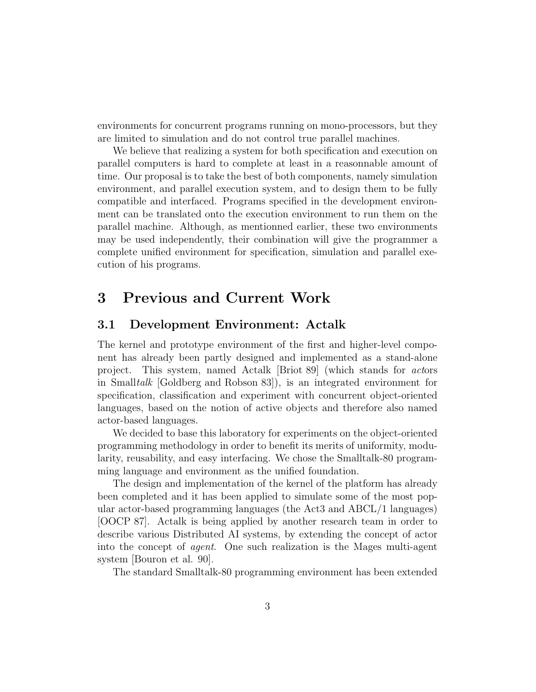environments for concurrent programs running on mono-processors, but they are limited to simulation and do not control true parallel machines.

We believe that realizing a system for both specification and execution on parallel computers is hard to complete at least in a reasonnable amount of time. Our proposal is to take the best of both components, namely simulation environment, and parallel execution system, and to design them to be fully compatible and interfaced. Programs specified in the development environment can be translated onto the execution environment to run them on the parallel machine. Although, as mentionned earlier, these two environments may be used independently, their combination will give the programmer a complete unified environment for specification, simulation and parallel execution of his programs.

### 3 Previous and Current Work

#### 3.1 Development Environment: Actalk

The kernel and prototype environment of the first and higher-level component has already been partly designed and implemented as a stand-alone project. This system, named Actalk [Briot 89] (which stands for actors in Smalltalk [Goldberg and Robson 83]), is an integrated environment for specification, classification and experiment with concurrent object-oriented languages, based on the notion of active objects and therefore also named actor-based languages.

We decided to base this laboratory for experiments on the object-oriented programming methodology in order to benefit its merits of uniformity, modularity, reusability, and easy interfacing. We chose the Smalltalk-80 programming language and environment as the unified foundation.

The design and implementation of the kernel of the platform has already been completed and it has been applied to simulate some of the most popular actor-based programming languages (the Act3 and ABCL/1 languages) [OOCP 87]. Actalk is being applied by another research team in order to describe various Distributed AI systems, by extending the concept of actor into the concept of agent. One such realization is the Mages multi-agent system [Bouron et al. 90].

The standard Smalltalk-80 programming environment has been extended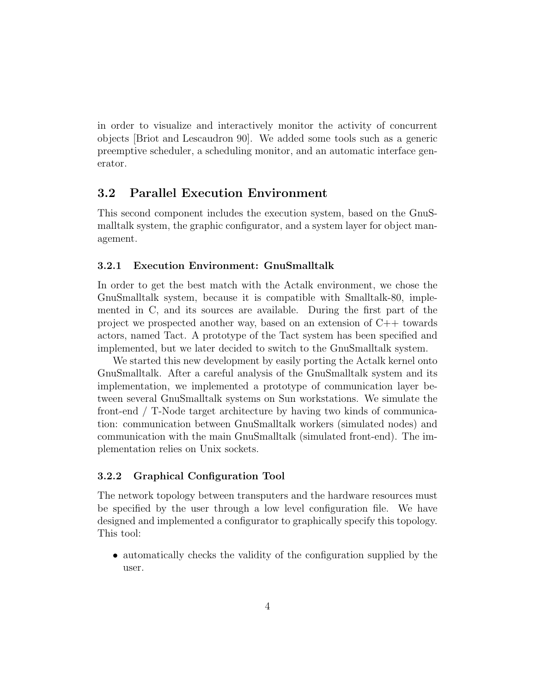in order to visualize and interactively monitor the activity of concurrent objects [Briot and Lescaudron 90]. We added some tools such as a generic preemptive scheduler, a scheduling monitor, and an automatic interface generator.

#### 3.2 Parallel Execution Environment

This second component includes the execution system, based on the GnuSmalltalk system, the graphic configurator, and a system layer for object management.

#### 3.2.1 Execution Environment: GnuSmalltalk

In order to get the best match with the Actalk environment, we chose the GnuSmalltalk system, because it is compatible with Smalltalk-80, implemented in C, and its sources are available. During the first part of the project we prospected another way, based on an extension of C++ towards actors, named Tact. A prototype of the Tact system has been specified and implemented, but we later decided to switch to the GnuSmalltalk system.

We started this new development by easily porting the Actalk kernel onto GnuSmalltalk. After a careful analysis of the GnuSmalltalk system and its implementation, we implemented a prototype of communication layer between several GnuSmalltalk systems on Sun workstations. We simulate the front-end / T-Node target architecture by having two kinds of communication: communication between GnuSmalltalk workers (simulated nodes) and communication with the main GnuSmalltalk (simulated front-end). The implementation relies on Unix sockets.

#### 3.2.2 Graphical Configuration Tool

The network topology between transputers and the hardware resources must be specified by the user through a low level configuration file. We have designed and implemented a configurator to graphically specify this topology. This tool:

• automatically checks the validity of the configuration supplied by the user.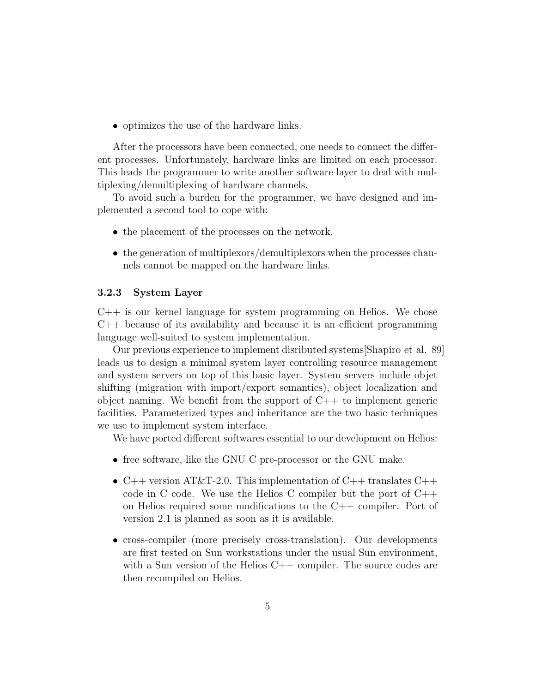• optimizes the use of the hardware links.

After the processors have been connected, one needs to connect the different processes. Unfortunately, hardware links are limited on each processor. This leads the programmer to write another software layer to deal with multiplexing/demultiplexing of hardware channels.

To avoid such a burden for the programmer, we have designed and implemented a second tool to cope with:

- the placement of the processes on the network.
- the generation of multiplexors/demultiplexors when the processes channels cannot be mapped on the hardware links.

#### 3.2.3 System Layer

 $C_{++}$  is our kernel language for system programming on Helios. We chose C++ because of its availability and because it is an efficient programming language well-suited to system implementation.

Our previous experience to implement disributed systems[Shapiro et al. 89] leads us to design a minimal system layer controlling resource management and system servers on top of this basic layer. System servers include objet shifting (migration with import/export semantics), object localization and object naming. We benefit from the support of  $C++$  to implement generic facilities. Parameterized types and inheritance are the two basic techniques we use to implement system interface.

We have ported different softwares essential to our development on Helios:

- free software, like the GNU C pre-processor or the GNU make.
- C++ version AT&T-2.0. This implementation of C++ translates C++ code in C code. We use the Helios C compiler but the port of C++ on Helios required some modifications to the C++ compiler. Port of version 2.1 is planned as soon as it is available.
- cross-compiler (more precisely cross-translation). Our developments are first tested on Sun workstations under the usual Sun environment, with a Sun version of the Helios C++ compiler. The source codes are then recompiled on Helios.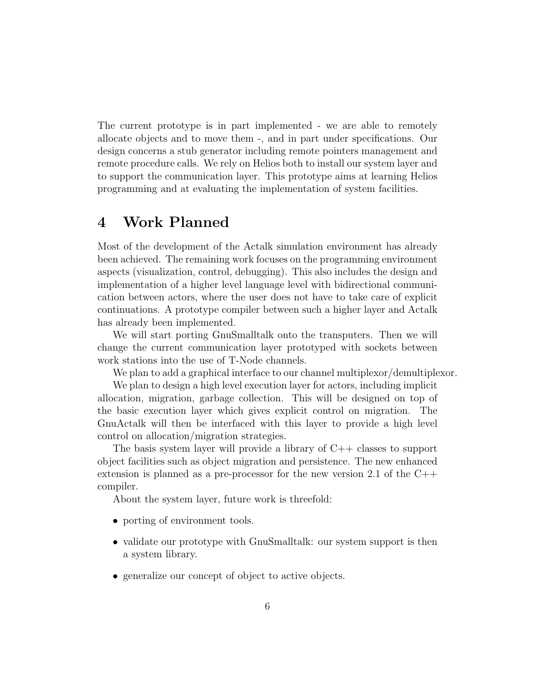The current prototype is in part implemented - we are able to remotely allocate objects and to move them -, and in part under specifications. Our design concerns a stub generator including remote pointers management and remote procedure calls. We rely on Helios both to install our system layer and to support the communication layer. This prototype aims at learning Helios programming and at evaluating the implementation of system facilities.

### 4 Work Planned

Most of the development of the Actalk simulation environment has already been achieved. The remaining work focuses on the programming environment aspects (visualization, control, debugging). This also includes the design and implementation of a higher level language level with bidirectional communication between actors, where the user does not have to take care of explicit continuations. A prototype compiler between such a higher layer and Actalk has already been implemented.

We will start porting GnuSmalltalk onto the transputers. Then we will change the current communication layer prototyped with sockets between work stations into the use of T-Node channels.

We plan to add a graphical interface to our channel multiplexor/demultiplexor.

We plan to design a high level execution layer for actors, including implicit allocation, migration, garbage collection. This will be designed on top of the basic execution layer which gives explicit control on migration. The GnuActalk will then be interfaced with this layer to provide a high level control on allocation/migration strategies.

The basis system layer will provide a library of  $C++$  classes to support object facilities such as object migration and persistence. The new enhanced extension is planned as a pre-processor for the new version 2.1 of the C++ compiler.

About the system layer, future work is threefold:

- porting of environment tools.
- validate our prototype with GnuSmalltalk: our system support is then a system library.
- generalize our concept of object to active objects.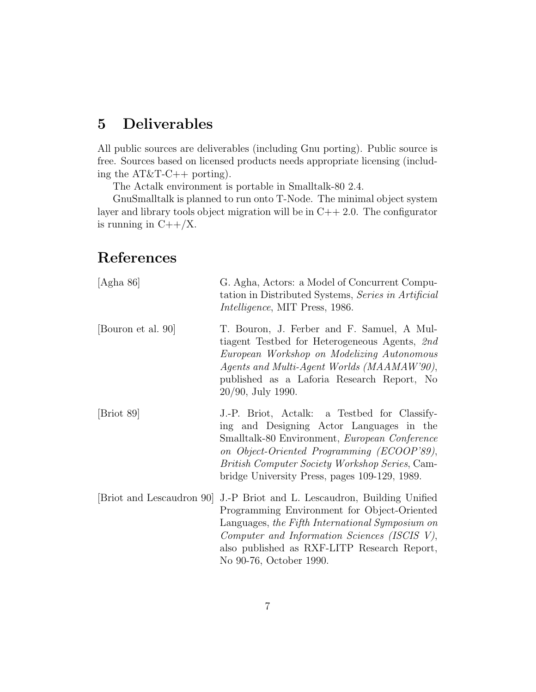### 5 Deliverables

All public sources are deliverables (including Gnu porting). Public source is free. Sources based on licensed products needs appropriate licensing (including the AT&T-C++ porting).

The Actalk environment is portable in Smalltalk-80 2.4.

GnuSmalltalk is planned to run onto T-Node. The minimal object system layer and library tools object migration will be in  $C++2.0$ . The configurator is running in  $C++/X$ .

## References

| [Agha 86]                 | G. Agha, Actors: a Model of Concurrent Compu-<br>tation in Distributed Systems, Series in Artificial<br><i>Intelligence</i> , MIT Press, 1986.                                                                                                                                                    |
|---------------------------|---------------------------------------------------------------------------------------------------------------------------------------------------------------------------------------------------------------------------------------------------------------------------------------------------|
| [Bouron et al. 90]        | T. Bouron, J. Ferber and F. Samuel, A Mul-<br>tiagent Testbed for Heterogeneous Agents, 2nd<br>European Workshop on Modelizing Autonomous<br>Agents and Multi-Agent Worlds (MAAMAW'90),<br>published as a Laforia Research Report, No<br>20/90, July 1990.                                        |
| [Briot 89]                | J.-P. Briot, Actalk: a Testbed for Classify-<br>ing and Designing Actor Languages in the<br>Smalltalk-80 Environment, European Conference<br>on Object-Oriented Programming (ECOOP'89),<br><i>British Computer Society Workshop Series, Cam-</i><br>bridge University Press, pages 109-129, 1989. |
| [Briot and Lescaudron 90] | J.-P Briot and L. Lescaudron, Building Unified<br>Programming Environment for Object-Oriented<br>Languages, the Fifth International Symposium on<br>Computer and Information Sciences (ISCIS V),<br>also published as RXF-LITP Research Report,<br>No 90-76, October 1990.                        |